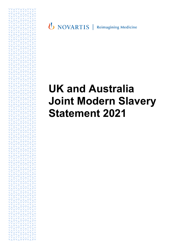**U** NOVARTIS | Reimagining Medicine

# **UK and Australia Joint Modern Slavery Statement 2021**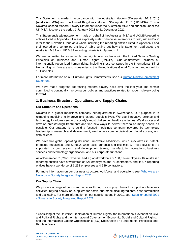This Statement is made in accordance with the Australian *Modern Slavery Act 2018 (Cth)* (Australian MSA) and the United Kingdom's *Modern Slavery Act 2015* (UK MSA). This is Novartis' second Modern Slavery Statement under the Australian MSA and our sixth under the UK MSA. It covers the period 1 January 2021 to 31 December 2021.

This Statement is a joint statement made on behalf of the Australian MSA and UK MSA reporting entities listed in Appendix I. Unless expressly stated otherwise, references to 'we', 'us' and 'our' refer to the Novartis Group as a whole including the reporting entities listed in Appendix I and their owned and controlled entities. A table setting out how this Statement addresses the Australian MSA and UK MSA reporting criteria is in Appendix II.

We are committed to respecting human rights in accordance with the United Nations Guiding Principles on Business and Human Rights (UNGPs). Our commitment includes all internationally recognized human rights, including those contained in the International Bill of Human Rights.<sup>1</sup> We are also signatories to the United Nations Global Compact and uphold its 10 Principles.

For more information on our Human Rights Commitments, see our [Human Rights Commitment](https://www.novartis.com/sites/novartis_com/files/novartis-human-rights-commitment-statement.pdf)  [Statement.](https://www.novartis.com/sites/novartis_com/files/novartis-human-rights-commitment-statement.pdf)

We have made progress addressing modern slavery risks over the last year and remain committed to continually improving our policies and practices related to modern slavery going forward.

# **1. Business Structure, Operations, and Supply Chains**

## **Our Structure and Operations**

Novartis is a global medicines company headquartered in Switzerland. Our purpose is to reimagine medicine to improve and extend people's lives. We use innovative science and technology to address some of society's most challenging healthcare issues. We discover and develop breakthrough treatments and find new ways to deliver them to as many people as possible. Our strategy is to build a focused medicines company powered by technology leadership in research and development, world-class commercialization, global access, and data science.

We have two global operating divisions: Innovative Medicines, which specializes in patentprotected medicines, and Sandoz, which sells generics and biosimilars. These divisions are supported by our research and development teams, manufacturing operations, business services and technology organization, and our corporate functions.

As of December 31, 2021 Novartis, had a global workforce of 108,514 employees. Its Australian reporting entities have a workforce of 621 employees and 71 contractors, and its UK reporting entities have a workforce of 1,293 employees and 539 contractors.

For more information on our business structure, workforce, and operations see: [Who we are -](https://www.reporting.novartis.com/novartis-in-society/our-approach/who-we-are.html) [Novartis in Society Integrated Report 2021](https://www.reporting.novartis.com/novartis-in-society/our-approach/who-we-are.html)

## **Our Supply Chain**

We procure a range of goods and services through our supply chains to support our business activities, relying heavily on suppliers for active pharmaceutical ingredients, dose formulation and packaging. For more information on our supplier spend in 2021, see: [Supplier spend 2021](https://www.reporting.novartis.com/novartis-in-society/appendices/supplier-spend-2021.html)  - [Novartis in Society Integrated Report 2021](https://www.reporting.novartis.com/novartis-in-society/appendices/supplier-spend-2021.html)

<sup>1</sup> Consisting of the Universal Declaration of Human Rights, the International Covenant on Civil and Political Rights and the International Covenant on Economic, Social and Cultural Rights, and the International Labour Organization's (ILO) Declaration on Fundamental Principles and Rights at Work.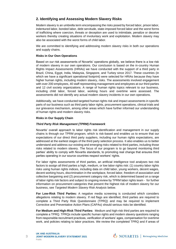# **2. Identifying and Assessing Modern Slavery Risks**

Modern slavery is an umbrella term encompassing the risks posed by forced labor, prison labor, indentured labor, bonded labor, debt servitude, state-imposed forced labor and the worst forms of trafficking where coercion, threats or deception are used to intimidate, penalize or deceive workers thereby creating situations of involuntary work and exploitation. Modern slavery may also be associated with the worst forms of child labor.

We are committed to identifying and addressing modern slavery risks in both our operations and supply chains.

#### **Risks in Our Own Operations**

Based on our risk assessments of Novartis' operations globally, we believe there is a low risk of modern slavery in our own operations. Our conclusion is based on the in-country Human Rights Impact Assessments (HRIAs) we have conducted with the support of a third party in Brazil, China, Egypt, India, Malaysia, Singapore, and Turkey since 2017. These countries (in which we have a significant operational footprint) were selected for HRIAs because they have higher human rights, including modern slavery, risks. The assessments involved engagement with over 200 employees, 40 staff representing management and employees at our third parties and 12 civil society organizations. A range of human rights topics relevant to our business, including child labor, forced labor, working hours and overtime were assessed. The assessments did not identify any actual modern slavery incidents in our own operations.

Additionally, we have conducted targeted human rights risk and impact assessments in specific parts of our business such as third party labor rights, procurement operations, clinical trials and our grievance mechanism, among other areas which have further informed our understanding of human rights and modern slavery risks.

#### **Risks in Our Supply Chain**

#### *Third Party Risk Management (TPRM) Framework*

Novartis' overall approach to labor rights risk identification and management in our supply chains is through our TPRM program, which is risk-based and enables us to ensure that our expectations of our direct third party suppliers, including our human rights expectations, are addressed at the earliest stages of the third party selection process. It also enables us to better understand and address our existing and emerging risks related to third parties, including those risks related to modern slavery. The focus of our program is to go beyond monitoring third parties' ability to comply with Novartis standards, to promoting real change that ensures third parties operating in our source countries respect workers' rights.

For labor rights assessments of third parties, an artificial intelligence tool analyses two risk factors to assign all third parties a high, medium, or low labor rights risk: (1) country labor rights risks using human rights indices, including data on child labor, young workers, decent wages, decent working hours, discrimination in the workplace, forced labor, freedom of association and collective bargaining and (2) procurement category risk, which is determined based on a range of labor rights risk factors and subject to ongoing review by TPRM labor rights team - for further information on procurement categories that present the highest risk of modern slavery for our business, see *Targeted Modern Slavery Risk Analysis* below.

**For Low-Risk Third Parties:** A negative media screening is conducted which considers allegations relating to modern slavery. If red flags are identified, third parties are required to complete a Third Party Risk Questionnaire (TPRQ) and may be required to implement Corrective and Preventative Action Plans (CAPAs) should serious risks be identified.

**For Medium and High-Risk Third Parties:** Medium and high-risk third parties are required to complete a TPRQ. TPRQs include specific human rights and modern slavery questions ranging from responsible recruitment practices, verification of workers' ages, compensation for overtime work, and policies relating to labor practices. We review the completed TPRQ and if areas of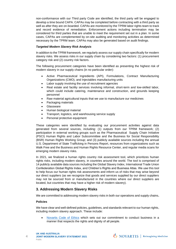non-conformance with our Third party Code are identified, the third party will be engaged to develop a time bound CAPA. CAPAs may be completed before contracting with a third party as well as after they are on-boarded. CAPAs are monitored by the TPRM labor rights team to track and record evidence of remediation. Enforcement actions including termination may be considered for third parties that are unable to meet the requirement set out in a plan. In some cases, CAPAs are complemented by on-site auditing and monitoring activities as determined necessary by the TPRM team. CAPAs may also be generated based on audit findings.

#### *Targeted Modern Slavery Risk Analysis*

In addition to the TPRM framework, we regularly assess our supply chain specifically for modern slavery risks. We assess risks in our supply chain by considering two factors: (1) procurement category risk and (2) country risk factors.

The following procurement categories have been identified as presenting the highest risk of modern slavery in our supply chains (in no particular order):

- Active Pharmaceutical Ingredients (API), Formulations, Contract Manufacturing Organizations (CMO), and Injectables manufacturing units
- Labor supply involving the use of recruitment agencies
- Real estate and facility services involving informal, short-term and low-skilled labor, which could include catering, maintenance and construction, and grounds keeping personnel
- Raw material agricultural inputs that we use to manufacture our medicines
- Packaging materials
- **Glassware**
- Human biological material
- Transport, logistics, and warehousing service supply
- Personal protective equipment

These categories were identified by evaluating our procurement activities against data generated from several sources, including: (1) outputs from our TPRM framework; (2) participation in external working groups such as the Pharmaceutical Supply Chain Initiative (PSCI) Human Rights and Labor Subcommittee and the Business for Social Responsibility (BSR) Human Rights Working Group; and (3) publicly available sources including the annual U.S. Department of State Trafficking in Persons Report, resources from organizations such as Walk Free and the Business and Human Rights Resource Center, and regular media scans for emerging modern slavery risks.

In 2021, we finalized a human rights country risk assessment tool, which prioritizes human rights risks, including modern slavery, in countries around the world. The tool is comprised of 14 publicly available data sources including the Global Slavery Index, International Trade Union Confederation Global Rights Index, and Children's Rights and Business Atlas. We use this tool to help focus our human rights risk assessments and inform us of risks that may arise beyond our direct suppliers (as we recognize that goods and services supplied by our direct suppliers may not be sourced from or manufactured in the countries where our direct suppliers are located, but countries that may have a higher risk of modern slavery).

# **3. Addressing Modern Slavery Risks**

We are committed to addressing modern slavery risks in both our operations and supply chains**.**

## **Policies**

 $\Delta$ 

We have clear and well-defined policies, guidelines, and standards relevant to our human rights, including modern slavery approach. These include:

[Novartis Code of Ethics](https://www.novartis.com/sites/novartis_com/files/code-of-ethics-english.pdf) which sets out our commitment to conduct business in a manner that respects the rights and dignity of all people.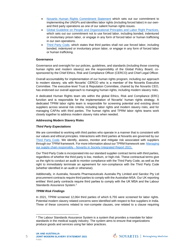- [Novartis Human Rights Commitment Statement](https://www.novartis.com/sites/novartis_com/files/novartis-human-rights-commitment-statement.pdf) which sets out our commitment to implementing the UNGPs and identifies labor rights (including forced labor) in our ownand third party operations as one of our salient human rights issues.
- [Global Guideline on People and Organizational Principles and Labor Right Practices,](https://www.novartis.com/sites/novartis_com/files/global-guideline-on-po-principles-and-labor-rights-practices.pdf) which sets out our commitment not to use forced labor, including bonded, indentured or involuntary prison labor, or engage in any form of forced labor or human trafficking in our own operations.
- [Third Party Code,](https://www.novartis.com/sites/novartis_com/files/novartis-third-party-code-v-2.pdf) which states that third parties shall not use forced labor, including bonded, indentured or involuntary prison labor, or engage in any form of forced labor or human trafficking.

## **Governance**

Governance and oversight for our policies, guidelines, and standards (including those covering human rights and modern slavery) are the responsibility of the Global Policy Board, cosponsored by the Chief Ethics, Risk and Compliance Officer (CERCO) and Chief Legal Officer.

Overall accountability for implementation of our human rights program, including our approach to modern slavery, sits with Novartis' CERCO who is a member of the Novartis Executive Committee. The executive-level Trust & Reputation Committee, chaired by the Novartis CEO, has endorsed our overall approach to managing human rights, including modern slavery risks.

A dedicated Human Rights team sits within the global Ethics, Risk and Compliance (ERC) function and is responsible for the implementation of Novartis' human rights strategy. A dedicated TPRM labor rights team is responsible for screening potential and existing direct suppliers across several risk criteria, including labor rights and modern slavery risks, and for managing CAPAs with third parties. The human rights and TPRM labor rights teams work closely together to address modern slavery risks when needed.

#### **Addressing Modern Slavery Risks**

## *Third Party Expectations*

We are committed to working with third parties who operate in a manner that is consistent with our values and ethical principles. Interactions with third parties at Novartis are governed by our [Third Party Code.](https://www.novartis.com/sites/novartis_com/files/novartis-third-party-code-v-2.pdf) We identify, assess, monitor and mitigate risk associated with suppliers through our TPRM framework. For more information about our TPRM framework see[: Managing](https://www.reporting.novartis.com/novartis-in-society/our-performance/embrace-operational-excellence/managing-our-supply-chain-responsibly.html)  our supply chain responsibly - [Novartis in Society Integrated Report 2021.](https://www.reporting.novartis.com/novartis-in-society/our-performance/embrace-operational-excellence/managing-our-supply-chain-responsibly.html)

Our Third Party Code is incorporated into our standard supplier contract terms with third parties, regardless of whether the third party is low, medium, or high-risk. These contractual terms give us the right to conduct an audit to monitor compliance with the Third Party Code, as well as the right to immediately terminate an agreement for non-compliance with the Third Party Code (whether identified in an audit or otherwise).

Additionally, in Australia, Novartis Pharmaceuticals Australia Pty Limited and Sandoz Pty Ltd procurement contracts require third parties to comply with the Australian MSA. Our UK reporting entities' third party contracts require third parties to comply with the UK MSA and the Labour Standards Assurance System.<sup>2</sup>

#### *TPRM Risk Findings*

In 2021, TPRM screened 12,064 third parties of which 6,755 were screened for labor rights. Potential modern slavery related concerns were identified with respect to five suppliers in India. Three of these concerns related to non-compete clauses, one related to a clause requiring

<sup>2</sup> The Labour Standards Assurance System is a system that provides a mandate for labor standards in the medical supply industry. The system aims to ensure that organizations produce goods and services using fair labor practices.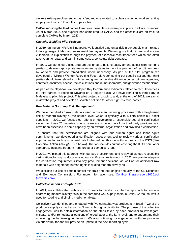workers exiting employment to pay a fee, and one related to a clause requiring workers exiting employment within 12 months to pay a fee.

CAPAs requiring the third parties to remove these clauses were put in place in all five instances. As of March 2022, one supplier has completed its CAPA, and the other four are on track to complete CAPAs by March 2023.

#### *Capacity-Building Pilot Projects*

In 2019, during our HRIA in Singapore, we identified a potential risk in our supply chain related to foreign migrant labor and recruitment fee payments. We recognize that migrant workers are vulnerable to exploitation through the payment of excessive recruitment fees which can often take years to repay and can, in some cases, constitute debt bondage.

In 2021, we launched a pilot program designed to build capacity among select high-risk third parties to develop appropriate management systems to track the payment of recruitment fees by workers and provide remediation where necessary. As part of the pilot program, we developed a "Migrant Worker Recruiting Fees" playbook setting out specific actions that third parties should take related to policies and governance; due diligence on recruitment agencies; contracts, document access, fee calculations and reimbursements, and grievance mechanisms.

As part of the playbook, we developed Key Performance Indicators related to recruitment fees for third parties to report to Novartis on a regular basis. We have identified a third party in Malaysia to pilot this project. This pilot project is ongoing, and, at the end of 2022, we aim to review the project and develop a scalable solution for other high-risk third parties.

#### *Raw Material Sourcing Risk Management*

We have identified 26 raw materials used in our manufacturing processes with a heightened risk of modern slavery at the source level, which is typically 3 to 5 tiers below our direct suppliers. In 2021, we focused our efforts on developing a responsible sourcing certification system for these 26 materials to ensure we are sourcing only from third party providers who have been assessed in some capacity by an external organization and provided a certification.

To ensure that the certifications are aligned with our human rights and labor rights commitments, we developed a certification assessment tool to review various certification approaches for each raw material. We further refined this tool with our peers in the PSCI (See *Collective Action Through PSCI* below). The tool includes criteria covering the ILO's core labor standards, including freedom from forced or compulsory labor.

In 2021, we piloted this approach with our soy procurement, and reviewed various responsible certifications for soy production using our certification review tool. In 2022, we plan to integrate the certification requirements into soy procurement decisions, as well as for additional raw materials with heightened human rights including modern slavery risk.

We disclose our use of certain conflict minerals and their origins annually to the US Securities and Exchange Commission. For more information see: [Conflict-minerals-report-2020.pdf](https://www.novartis.com/sites/novartis_com/files/conflict-minerals-report-2020.pdf)  [\(novartis.com\)](https://www.novartis.com/sites/novartis_com/files/conflict-minerals-report-2020.pdf)

#### *Collective Action Through PSCI*

In 2021, we collaborated with our PSCI peers to develop a collective approach to continue addressing modern slavery risks in the carnauba wax supply chain in Brazil. Carnauba wax is used for coating and binding medicine tablets.

Collectively we identified and engaged with five carnauba wax producers in Brazil. Two of the producers supply carnauba wax to Novartis through a distributor. The purpose of the collective engagement was to obtain information on the steps taken by each producer to investigate, mitigate, and/or remediate allegations of forced labor at the farm level, and to understand their monitoring mechanisms going forward. We are continuing our engagement with one producer via our distributor and will provide an update in the next reporting cycle.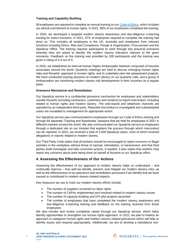## **Training and Capability Building**

All employees are required to complete an annual training on our [Code of Ethics,](https://www.novartis.com/sites/novartis_com/files/code-of-ethics-english.pdf) which includes our ethical commitment to human rights. In 2021, 98% of our employees completed the training.

In 2020, we developed a targeted modern slavery awareness and due-diligence e-learning training for select functions. In 2021, 97% of employees required to complete the training had done so. This includes all employees in the UK, Australia and employees from relevant functions including Ethics, Risk and Compliance, People & Organization, Procurement and the SpeakUp Office. The training requires participants to work through two practical scenarios whereby they are asked to identify the modern slavery indicators relevant to the given scenarios. Feedback on the training was provided by 328 participants and the training was given a rating of 4.4 out of 5.

In 2020, we established an internal Human Rights Ambassador Network comprised of Novartis associates around the world. Quarterly meetings are held to discuss emerging human rights risks and Novartis' approach to human rights, and to undertake joint risk assessment projects. We have conducted training sessions on modern slavery on our quarterly calls, and a group of Ambassadors are monitoring modern slavery risk developments in their countries on a regular basis.

#### **Grievance Mechanism and Remediation**

Our SpeakUp service is a confidential grievance mechanism for employees and stakeholders outside Novartis (including contractors, customers and vendors) to report misconduct, including related to human rights and modern slavery. The web-based and telephone channels are operated by an independent third party. Reported misconduct is investigated and substantiated cases are escalated to management for appropriate action.

Our SpeakUp service was communicated to employees through our Code of Ethics training and through 84 separate "Training and Awareness" sessions that we held for employees in 2021 in different markets around the world. We also communicated our SpeakUp service to employees through a dedicated site on our Intranet that explains the process through which misconduct can be reported. In 2021, we received a total of 2,000 SpeakUp cases, none of which involved allegations or reports related to modern slavery.

Our Third Party Code states that all workers should be encouraged to report concerns or illegal activities in the workplace without threat of reprisal, intimidation, or harassment, and that third parties shall investigate and take corrective actions, if needed. It also states that workers may report any concerns about work being done on behalf of Novartis to our SpeakUp office.

# **4. Assessing the Effectiveness of Our Actions**

Assessing the effectiveness of our approach to modern slavery helps us understand – and continually improve – how well we identify, prevent, and mitigate our modern slavery risks, as well as the effectiveness of our grievance and remediation processes if we identify that we have caused or contributed to modern slavery related impacts.

Key measures we use to track our modern slavery efforts include:

- The number of suppliers screened on labor rights
- The number of CAPAs implemented and resolved related to modern slavery issues
- The number of capacity-building and KPI pilot projects launched
- The number of employees that have completed the modern slavery awareness and due-diligence e-learning training and feedback on the training received from those employees

We also monitor and review complaints raised through our SpeakUp service, which helps identify opportunities to strengthen our human rights approach. In 2022, we plan to finalize an approach to categorize human rights and modern slavery-related grievances which will help us identify issues and respond appropriately. Additionally, we aim to develop a standalone non-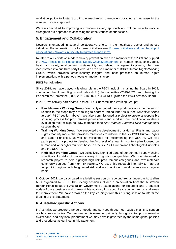retaliation policy to foster trust in the mechanism thereby encouraging an increase in the number of cases reported.

We are committed to improving our modern slavery approach and will continue to work to strengthen our approach to assessing the effectiveness of our actions.

# **5. Engagement and Collaboration**

Novartis is engaged in several collaborative efforts in the healthcare sector and across industries. For information on all external initiatives see: [External initiatives and membership of](https://www.reporting.novartis.com/novartis-in-society/appendices/external-initiatives-and-membership-of-associations.html)  associations - [Novartis in Society Integrated Report 2021](https://www.reporting.novartis.com/novartis-in-society/appendices/external-initiatives-and-membership-of-associations.html)

Related to our efforts on modern slavery prevention, we are a member of the PSCI and support the [PSCI Principles for Responsible Supply Chain Management](https://pscinitiative.org/principles) on human rights, ethics, labor, health and safety, environment, sustainability, and related management systems, which are incorporated into our Third party Code. We are also a member of BSR's Human Rights Working Group, which provides cross-industry insights and best practices on human rights implementation, with a periodic focus on modern slavery.

#### **PSCI Participation**

Since 2018, we have played a leading role in the PSCI, including chairing the Board in 2019, co-chairing the Human Rights and Labor (HRL) Subcommittee (2019-2021) and chairing the Partnerships Committee (2020-2021). In 2021, our CERCO joined the PSCI Advisory Board.

In 2021, we actively participated in three HRL Subcommittee Working Groups:

- **Raw Materials Working Group:** We jointly engaged major producers of carnauba wax in relation to the steps they are taking to address forced labor risks (see *Collective Action through PSCI* section above). We also commissioned a project to create a responsible sourcing process for procurement professionals and modified our certification evidence evaluation tool for high-risk raw materials (see *Raw Material Sourcing Risk Management* section above)
- **Training Working Group:** We supported the development of a Human Rights and Labor Rights maturity model that provides milestones to adhere to the six PSCI Human Rights and Labor Principles, as well as milestones for implementing the UNGPs. We also participated in a project to develop the first level of a learning content plan focused on human and labor rights "primers" based on the six PSCI Human and Labor Rights Principles and the UNGPs.
- **High Risk Working Group:** We collectively identified parts of our common supply chains specifically for risks of modern slavery in high-risk geographies. We commissioned a research project to help highlight high-risk procurement categories and raw materials commonly sourced from high-risk regions. We used this research internally to map our footprint in regions with heightened risk and are monitoring developments on a regular basis.

In October 2021, we participated in a briefing session on reporting trends under the Australian MSA organized by PSCI. The briefing session included a presentation from the Australian Border Force about the Australian Government's expectations for reporting and a detailed update from a business and human rights advisory firm about key reporting trends and areas for improvement. We have drawn on the key learnings from this briefing session to inform the drafting of this Statement.

# **6. Australia-Specific Actions**

In Australia, we procure a range of goods and services through our supply chains to support our business activities. Our procurement is managed primarily through central procurement in Switzerland, and any local procurement we may have is governed by the same global policies and procedures as outlined in this Statement.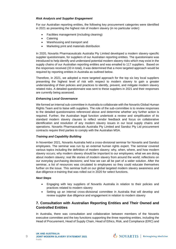## *Risk Analysis and Supplier Engagement*

For our Australian reporting entities, the following key procurement categories were identified in 2021 as presenting the highest risk of modern slavery (in no particular order):

- Facilities management (including cleaning)
- Catering
- Warehousing and transport and
- Marketing print and materials distribution

In 2020, Novartis Pharmaceuticals Australia Pty Limited developed a modern slavery-specific supplier questionnaire, for suppliers of our Australian reporting entities. The questionnaire was introduced to help identify and understand potential modern slavery risks which may exist in the supply chains of our Australian reporting entities and was emailed to 117 suppliers. Based on the responses received (33 in total), it was determined that a more targeted approach would be required by reporting entities in Australia as outlined below.

Therefore, in 2021, we adopted a more targeted approach for the top six key local suppliers presenting the highest level of risk with respect to modern slavery to gain a greater understanding of their policies and practices to identify, prevent, and mitigate modern slavery related risks. A detailed questionnaire was sent to these suppliers in 2021 and their responses are currently being assessed.

#### *Enhancing Local Governance*

We formed an internal sub-committee in Australia to collaborate with the Novartis Global Human Rights Team and to liaise with suppliers. The role of the sub-committee is to review responses to the detailed questionnaires referenced above and determine whether any further action is required. Further, the Australian legal function undertook a review and simplification of its standard modern slavery clauses to reflect vendor feedback and focus on collaborative identification and resolution of any modern slavery issues in our local supply chains and operations. Novartis Pharmaceuticals Australia Pty Limited and Sandoz Pty Ltd procurement contracts require third parties to comply with the Australian MSA.

## *Training and Capability Building*

In November 2021, Novartis Australia held a cross-divisional seminar for Novartis and Sandoz employees. The seminar was run by an external human rights expert. The seminar covered various topics including the definition of modern slavery; why, when, where, and how modern slavery occurs; why modern slavery should be important to our employees; what we are doing about modern slavery; real life stories of modern slavery from around the world; reflections on our everyday purchasing decisions; and how we can all be part of a wider solution. After the seminar, a list of resources was circulated to employees so they could educate themselves further on the issue. This seminar built on our global targeted modern slavery awareness and due-diligence e-training that was rolled out in 2020 for select functions.

#### *Next Steps*

9

- Engaging with key suppliers of Novartis Australia in relation to their policies and practices related to modern slavery
- Setting up an internal cross-divisional committee in Australia that will develop and review supplier due diligence and engagement in relation to modern slavery

# **7. Consultation with Australian Reporting Entities and Their Owned and Controlled Entities**

In Australia, there was consultation and collaboration between members of the Novartis executive committee and the key functions supporting the three reporting entities, including the Head of Procurement, Head of Supply Chain, Head of Ethics, Risk, and Compliance (ERC) and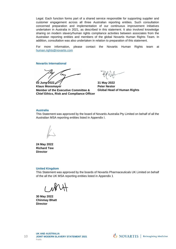Legal. Each function forms part of a shared service responsible for supporting supplier and customer engagement across all three Australian reporting entities. Such consultation concerned preparation and implementation of our continuous improvement initiatives undertaken in Australia in 2021, as described in this statement. It also involved knowledge sharing on modern slavery/human rights compliance activities between associates from the Australian reporting entities and members of the global Novartis Human Rights Team. In addition, consultation was also undertaken in relation to preparation of this statement.

For more information, please contact the Novartis Human Rights team at [human.rights@novartis.com](mailto:human.rights@novartis.com)

**Novartis International**

(xx **03 June 2022∠** 

**Klaus Moosmayer Member of the Executive Committee & Chief Ethics, Risk and Compliance Officer**

**31 May 2022 Peter Nestor Global Head of Human Rights**

#### **Australia**

This Statement was approved by the board of Novartis Australia Pty Limited on behalf of all the Australian MSA reporting entities listed in Appendix I.

**24 May 2022 Richard Tew Director**

#### **United Kingdom**

This Statement was approved by the boards of Novartis Pharmaceuticals UK Limited on behalf of the all the UK MSA reporting entities listed in Appendix 1

**30 May 2022 Chinmay Bhatt Director**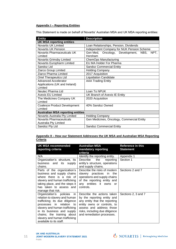# **Appendix I – Reporting Entities**

This Statement is made on behalf of Novartis' Australian MSA and UK MSA reporting entities:

| <b>Entity</b>                            | <b>Description</b>                           |  |  |
|------------------------------------------|----------------------------------------------|--|--|
| <b>UK MSA reporting entities</b>         |                                              |  |  |
| <b>Novartis UK Limited</b>               | Loan Relationships, Pension, Dividends       |  |  |
| <b>Novartis UK Pension</b>               | Independent Company for NUK Pension Scheme   |  |  |
| <b>Novartis Pharmaceuticals UK</b>       | Gen Med, Oncology, Development, NBS,<br>NPT. |  |  |
| Limited                                  | Horsham                                      |  |  |
| Novartis Grimsby Limited                 | <b>ChemOps Manufacturing</b>                 |  |  |
| Novartis Europharm Limited               | EU MA Holder For Pharma                      |  |  |
| Sandoz Ltd                               | <b>Sandoz Commercial Entity</b>              |  |  |
| Ziarco Group Limited                     | <b>Holding Company</b>                       |  |  |
| Ziarco Pharma Limited                    | 2017 Acquisition                             |  |  |
| Oriel Therapeutics Ltd                   | <b>Liquidation Candidate</b>                 |  |  |
| <b>Advanced Accelerator</b>              | <b>AAA Trading Entity</b>                    |  |  |
| Applications (UK and Ireland)            |                                              |  |  |
| Limited                                  |                                              |  |  |
| Neutec Pharma Ltd                        | Loan To NPUK                                 |  |  |
| <b>Avexis EU Limited</b>                 | UK Branch of Avexis IE Entity                |  |  |
| The Medicines Company UK                 | 2020 Acquisition                             |  |  |
| Limited                                  |                                              |  |  |
| <b>Coalesce Product Development</b>      | 40% Sandoz Owned                             |  |  |
| Limited                                  |                                              |  |  |
| <b>Australian MSA reporting entities</b> |                                              |  |  |
| Novartis Australia Pty Limited           | <b>Holding Company</b>                       |  |  |
| Novartis Pharmaceuticals                 | Gen Medicines, Oncology, Commercial Entity   |  |  |
| Australia Pty Limited                    |                                              |  |  |
| Sandoz Pty Ltd                           | <b>Sandoz Commercial Entity</b>              |  |  |

# **Appendix II – How our Statement Addresses the UK MSA and Australian MSA Reporting Criteria**

| <b>UK MSA recommended</b><br>reporting criteria                                                                                                                                                                                                                                        | <b>Australian MSA</b><br>mandatory reporting<br>criteria                                                                                                                                                              | <b>Reference in this</b><br><b>Statement</b> |
|----------------------------------------------------------------------------------------------------------------------------------------------------------------------------------------------------------------------------------------------------------------------------------------|-----------------------------------------------------------------------------------------------------------------------------------------------------------------------------------------------------------------------|----------------------------------------------|
| N/A                                                                                                                                                                                                                                                                                    | Identify the reporting entity.                                                                                                                                                                                        | Appendix 1                                   |
| Organization's structure, its<br>business and its<br>supply<br>chains.                                                                                                                                                                                                                 | <b>Describe</b><br>the<br>reporting<br>entity's structure, operations<br>and supply chains.                                                                                                                           | Section 1                                    |
| Parts of the organization's<br>business and supply chains<br>where there is a risk of<br>slavery and human trafficking<br>taking place, and the steps it<br>has taken to assess and<br>manage that risk.                                                                               | Describe the risks of modern<br>slavery practices in<br>the<br>operations and supply chains<br>of the reporting entity and<br>any entities it owns or<br>controls.                                                    | Sections 2 and 7                             |
| Organization's policies<br>in.<br>relation to slavery and human<br>trafficking; its due diligence<br>processes in relation to<br>slavery and human trafficking<br>in its business and supply<br>chains; the training about<br>slavery and human trafficking<br>available to its staff. | Describe the actions taken<br>by the reporting entity and<br>any entity that the reporting<br>entity owns or controls, to<br>assess and address those<br>risks, including due diligence<br>and remediation processes. | Sections 2, 3 and 7                          |